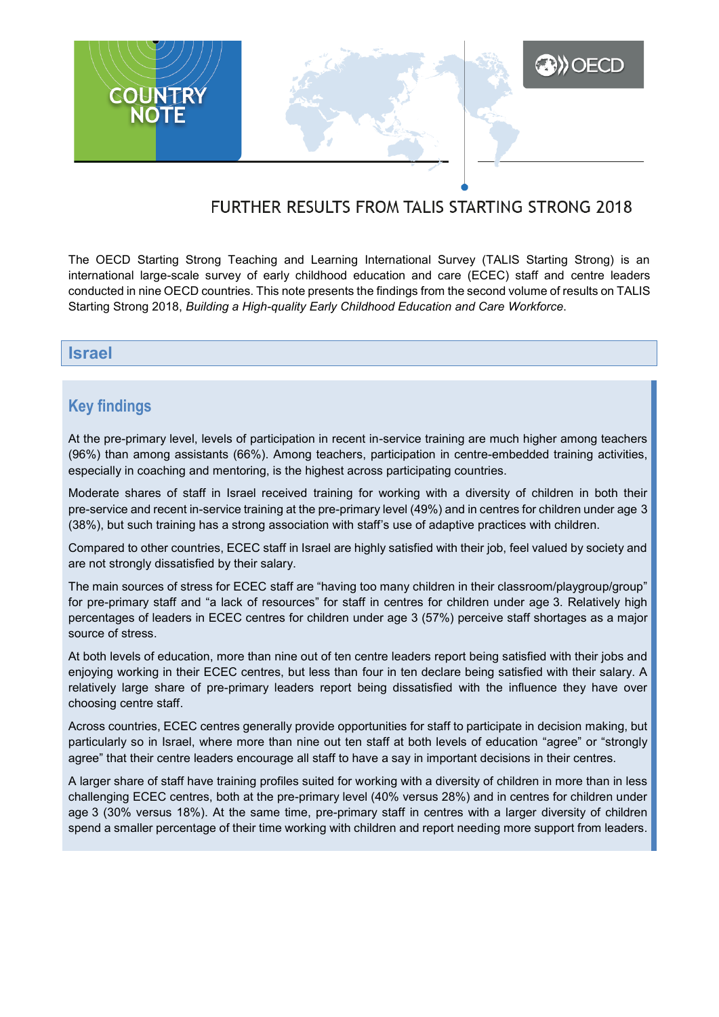

# FURTHER RESULTS FROM TALIS STARTING STRONG 2018

The OECD Starting Strong Teaching and Learning International Survey (TALIS Starting Strong) is an international large-scale survey of early childhood education and care (ECEC) staff and centre leaders conducted in nine OECD countries. This note presents the findings from the second volume of results on TALIS Starting Strong 2018, *Building a High-quality Early Childhood Education and Care Workforce*.

## **Israel**

## **Key findings**

At the pre-primary level, levels of participation in recent in-service training are much higher among teachers (96%) than among assistants (66%). Among teachers, participation in centre-embedded training activities, especially in coaching and mentoring, is the highest across participating countries.

Moderate shares of staff in Israel received training for working with a diversity of children in both their pre-service and recent in-service training at the pre-primary level (49%) and in centres for children under age 3 (38%), but such training has a strong association with staff's use of adaptive practices with children.

Compared to other countries, ECEC staff in Israel are highly satisfied with their job, feel valued by society and are not strongly dissatisfied by their salary.

The main sources of stress for ECEC staff are "having too many children in their classroom/playgroup/group" for pre-primary staff and "a lack of resources" for staff in centres for children under age 3. Relatively high percentages of leaders in ECEC centres for children under age 3 (57%) perceive staff shortages as a major source of stress.

At both levels of education, more than nine out of ten centre leaders report being satisfied with their jobs and enjoying working in their ECEC centres, but less than four in ten declare being satisfied with their salary. A relatively large share of pre-primary leaders report being dissatisfied with the influence they have over choosing centre staff.

Across countries, ECEC centres generally provide opportunities for staff to participate in decision making, but particularly so in Israel, where more than nine out ten staff at both levels of education "agree" or "strongly agree" that their centre leaders encourage all staff to have a say in important decisions in their centres.

A larger share of staff have training profiles suited for working with a diversity of children in more than in less challenging ECEC centres, both at the pre-primary level (40% versus 28%) and in centres for children under age 3 (30% versus 18%). At the same time, pre-primary staff in centres with a larger diversity of children spend a smaller percentage of their time working with children and report needing more support from leaders.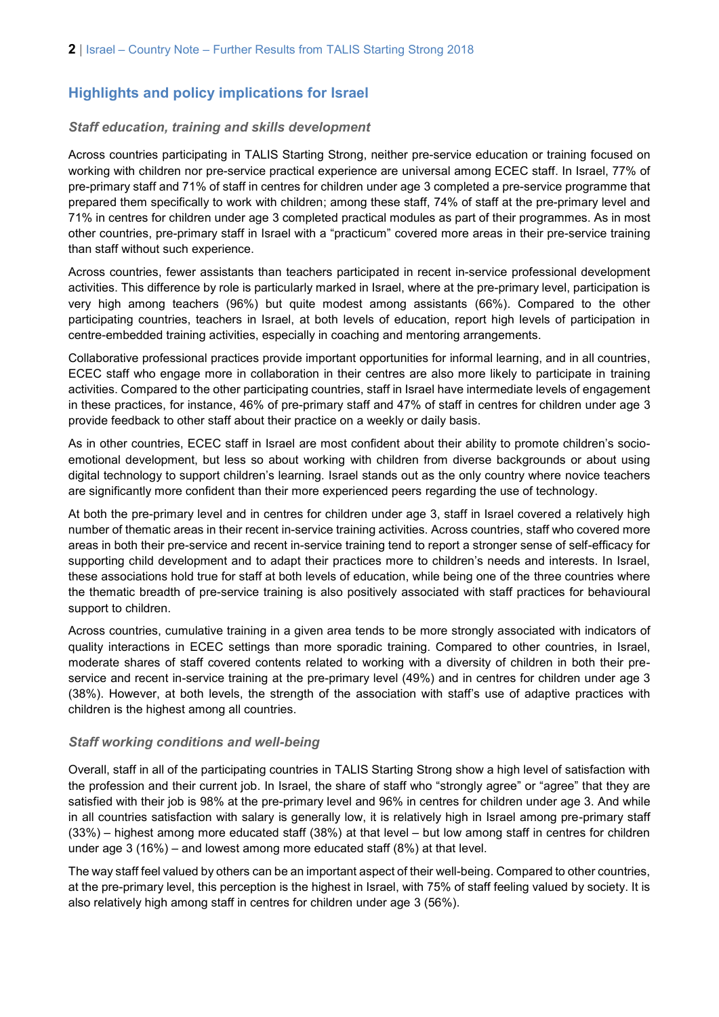## **Highlights and policy implications for Israel**

### *Staff education, training and skills development*

Across countries participating in TALIS Starting Strong, neither pre-service education or training focused on working with children nor pre-service practical experience are universal among ECEC staff. In Israel, 77% of pre-primary staff and 71% of staff in centres for children under age 3 completed a pre-service programme that prepared them specifically to work with children; among these staff, 74% of staff at the pre-primary level and 71% in centres for children under age 3 completed practical modules as part of their programmes. As in most other countries, pre-primary staff in Israel with a "practicum" covered more areas in their pre-service training than staff without such experience.

Across countries, fewer assistants than teachers participated in recent in-service professional development activities. This difference by role is particularly marked in Israel, where at the pre-primary level, participation is very high among teachers (96%) but quite modest among assistants (66%). Compared to the other participating countries, teachers in Israel, at both levels of education, report high levels of participation in centre-embedded training activities, especially in coaching and mentoring arrangements.

Collaborative professional practices provide important opportunities for informal learning, and in all countries, ECEC staff who engage more in collaboration in their centres are also more likely to participate in training activities. Compared to the other participating countries, staff in Israel have intermediate levels of engagement in these practices, for instance, 46% of pre-primary staff and 47% of staff in centres for children under age 3 provide feedback to other staff about their practice on a weekly or daily basis.

As in other countries, ECEC staff in Israel are most confident about their ability to promote children's socioemotional development, but less so about working with children from diverse backgrounds or about using digital technology to support children's learning. Israel stands out as the only country where novice teachers are significantly more confident than their more experienced peers regarding the use of technology.

At both the pre-primary level and in centres for children under age 3, staff in Israel covered a relatively high number of thematic areas in their recent in-service training activities. Across countries, staff who covered more areas in both their pre-service and recent in-service training tend to report a stronger sense of self-efficacy for supporting child development and to adapt their practices more to children's needs and interests. In Israel, these associations hold true for staff at both levels of education, while being one of the three countries where the thematic breadth of pre-service training is also positively associated with staff practices for behavioural support to children.

Across countries, cumulative training in a given area tends to be more strongly associated with indicators of quality interactions in ECEC settings than more sporadic training. Compared to other countries, in Israel, moderate shares of staff covered contents related to working with a diversity of children in both their preservice and recent in-service training at the pre-primary level (49%) and in centres for children under age 3 (38%). However, at both levels, the strength of the association with staff's use of adaptive practices with children is the highest among all countries.

#### *Staff working conditions and well-being*

Overall, staff in all of the participating countries in TALIS Starting Strong show a high level of satisfaction with the profession and their current job. In Israel, the share of staff who "strongly agree" or "agree" that they are satisfied with their job is 98% at the pre-primary level and 96% in centres for children under age 3. And while in all countries satisfaction with salary is generally low, it is relatively high in Israel among pre-primary staff (33%) – highest among more educated staff (38%) at that level – but low among staff in centres for children under age 3 (16%) – and lowest among more educated staff (8%) at that level.

The way staff feel valued by others can be an important aspect of their well-being. Compared to other countries, at the pre-primary level, this perception is the highest in Israel, with 75% of staff feeling valued by society. It is also relatively high among staff in centres for children under age 3 (56%).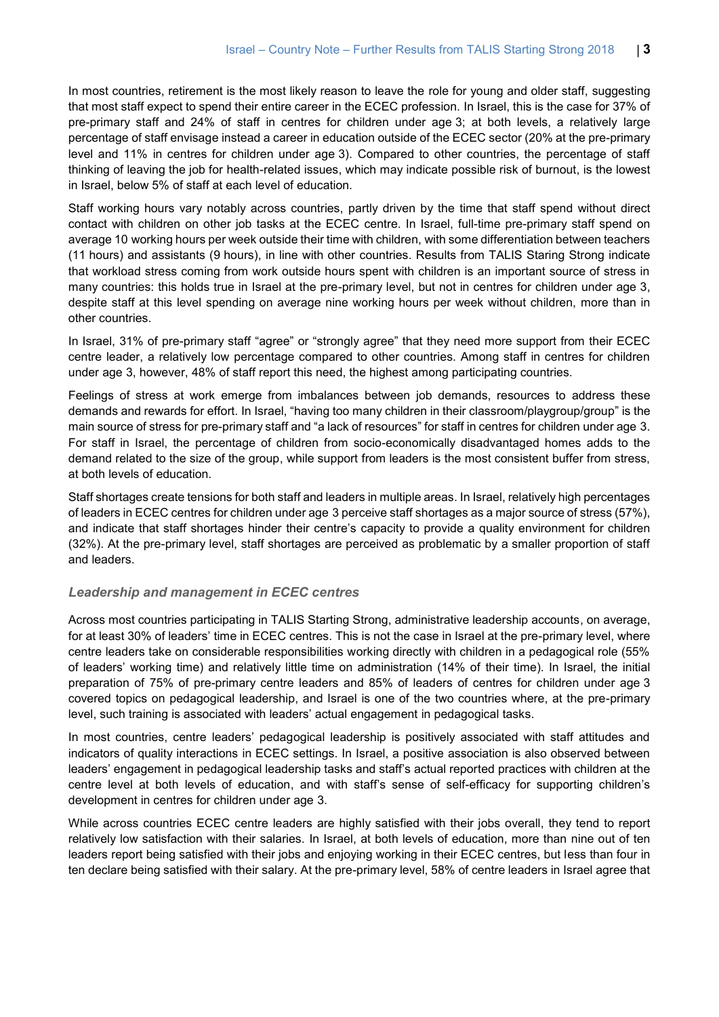In most countries, retirement is the most likely reason to leave the role for young and older staff, suggesting that most staff expect to spend their entire career in the ECEC profession. In Israel, this is the case for 37% of pre-primary staff and 24% of staff in centres for children under age 3; at both levels, a relatively large percentage of staff envisage instead a career in education outside of the ECEC sector (20% at the pre-primary level and 11% in centres for children under age 3). Compared to other countries, the percentage of staff thinking of leaving the job for health-related issues, which may indicate possible risk of burnout, is the lowest in Israel, below 5% of staff at each level of education.

Staff working hours vary notably across countries, partly driven by the time that staff spend without direct contact with children on other job tasks at the ECEC centre. In Israel, full-time pre-primary staff spend on average 10 working hours per week outside their time with children, with some differentiation between teachers (11 hours) and assistants (9 hours), in line with other countries. Results from TALIS Staring Strong indicate that workload stress coming from work outside hours spent with children is an important source of stress in many countries: this holds true in Israel at the pre-primary level, but not in centres for children under age 3, despite staff at this level spending on average nine working hours per week without children, more than in other countries.

In Israel, 31% of pre-primary staff "agree" or "strongly agree" that they need more support from their ECEC centre leader, a relatively low percentage compared to other countries. Among staff in centres for children under age 3, however, 48% of staff report this need, the highest among participating countries.

Feelings of stress at work emerge from imbalances between job demands, resources to address these demands and rewards for effort. In Israel, "having too many children in their classroom/playgroup/group" is the main source of stress for pre-primary staff and "a lack of resources" for staff in centres for children under age 3. For staff in Israel, the percentage of children from socio-economically disadvantaged homes adds to the demand related to the size of the group, while support from leaders is the most consistent buffer from stress, at both levels of education.

Staff shortages create tensions for both staff and leaders in multiple areas. In Israel, relatively high percentages of leaders in ECEC centres for children under age 3 perceive staff shortages as a major source of stress (57%), and indicate that staff shortages hinder their centre's capacity to provide a quality environment for children (32%). At the pre-primary level, staff shortages are perceived as problematic by a smaller proportion of staff and leaders.

#### *Leadership and management in ECEC centres*

Across most countries participating in TALIS Starting Strong, administrative leadership accounts, on average, for at least 30% of leaders' time in ECEC centres. This is not the case in Israel at the pre-primary level, where centre leaders take on considerable responsibilities working directly with children in a pedagogical role (55% of leaders' working time) and relatively little time on administration (14% of their time). In Israel, the initial preparation of 75% of pre-primary centre leaders and 85% of leaders of centres for children under age 3 covered topics on pedagogical leadership, and Israel is one of the two countries where, at the pre-primary level, such training is associated with leaders' actual engagement in pedagogical tasks.

In most countries, centre leaders' pedagogical leadership is positively associated with staff attitudes and indicators of quality interactions in ECEC settings. In Israel, a positive association is also observed between leaders' engagement in pedagogical leadership tasks and staff's actual reported practices with children at the centre level at both levels of education, and with staff's sense of self-efficacy for supporting children's development in centres for children under age 3.

While across countries ECEC centre leaders are highly satisfied with their jobs overall, they tend to report relatively low satisfaction with their salaries. In Israel, at both levels of education, more than nine out of ten leaders report being satisfied with their jobs and enjoying working in their ECEC centres, but less than four in ten declare being satisfied with their salary. At the pre-primary level, 58% of centre leaders in Israel agree that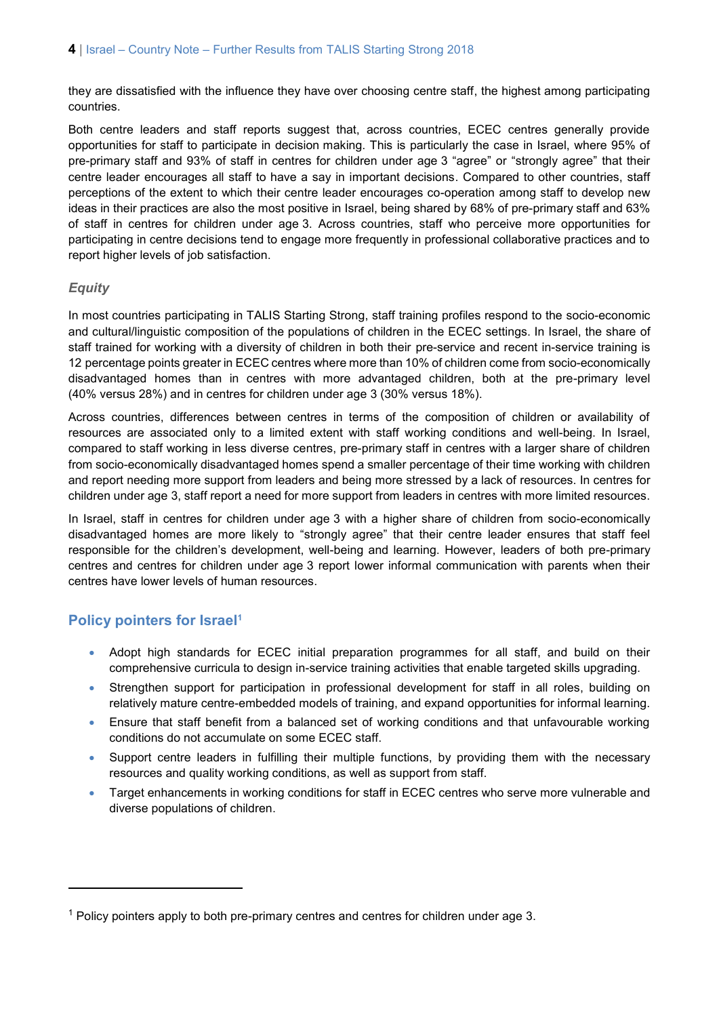they are dissatisfied with the influence they have over choosing centre staff, the highest among participating countries.

Both centre leaders and staff reports suggest that, across countries, ECEC centres generally provide opportunities for staff to participate in decision making. This is particularly the case in Israel, where 95% of pre-primary staff and 93% of staff in centres for children under age 3 "agree" or "strongly agree" that their centre leader encourages all staff to have a say in important decisions. Compared to other countries, staff perceptions of the extent to which their centre leader encourages co-operation among staff to develop new ideas in their practices are also the most positive in Israel, being shared by 68% of pre-primary staff and 63% of staff in centres for children under age 3. Across countries, staff who perceive more opportunities for participating in centre decisions tend to engage more frequently in professional collaborative practices and to report higher levels of job satisfaction.

## *Equity*

In most countries participating in TALIS Starting Strong, staff training profiles respond to the socio-economic and cultural/linguistic composition of the populations of children in the ECEC settings. In Israel, the share of staff trained for working with a diversity of children in both their pre-service and recent in-service training is 12 percentage points greater in ECEC centres where more than 10% of children come from socio-economically disadvantaged homes than in centres with more advantaged children, both at the pre-primary level (40% versus 28%) and in centres for children under age 3 (30% versus 18%).

Across countries, differences between centres in terms of the composition of children or availability of resources are associated only to a limited extent with staff working conditions and well-being. In Israel, compared to staff working in less diverse centres, pre-primary staff in centres with a larger share of children from socio-economically disadvantaged homes spend a smaller percentage of their time working with children and report needing more support from leaders and being more stressed by a lack of resources. In centres for children under age 3, staff report a need for more support from leaders in centres with more limited resources.

In Israel, staff in centres for children under age 3 with a higher share of children from socio-economically disadvantaged homes are more likely to "strongly agree" that their centre leader ensures that staff feel responsible for the children's development, well-being and learning. However, leaders of both pre-primary centres and centres for children under age 3 report lower informal communication with parents when their centres have lower levels of human resources.

## **Policy pointers for Israel<sup>1</sup>**

 $\overline{a}$ 

- Adopt high standards for ECEC initial preparation programmes for all staff, and build on their comprehensive curricula to design in-service training activities that enable targeted skills upgrading.
- Strengthen support for participation in professional development for staff in all roles, building on relatively mature centre-embedded models of training, and expand opportunities for informal learning.
- Ensure that staff benefit from a balanced set of working conditions and that unfavourable working conditions do not accumulate on some ECEC staff.
- Support centre leaders in fulfilling their multiple functions, by providing them with the necessary resources and quality working conditions, as well as support from staff.
- Target enhancements in working conditions for staff in ECEC centres who serve more vulnerable and diverse populations of children.

<sup>1</sup> Policy pointers apply to both pre-primary centres and centres for children under age 3.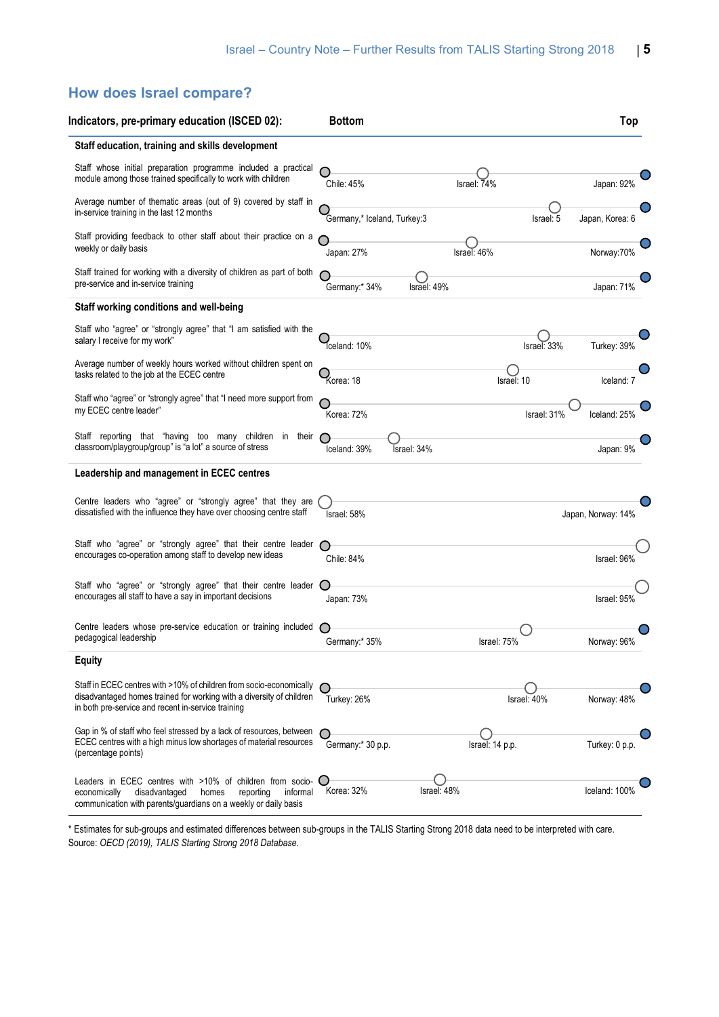# **How does Israel compare?**

| Indicators, pre-primary education (ISCED 02):                                                                                                                                                     | <b>Bottom</b>               |             |                 |             | Top                |
|---------------------------------------------------------------------------------------------------------------------------------------------------------------------------------------------------|-----------------------------|-------------|-----------------|-------------|--------------------|
| Staff education, training and skills development                                                                                                                                                  |                             |             |                 |             |                    |
| Staff whose initial preparation programme included a practical<br>module among those trained specifically to work with children                                                                   | Chile: 45%                  |             | Israel: 74%     |             | Japan: 92%         |
| Average number of thematic areas (out of 9) covered by staff in<br>in-service training in the last 12 months                                                                                      | Germany,* Iceland, Turkey:3 |             |                 | Israel: 5   | Japan, Korea: 6    |
| Staff providing feedback to other staff about their practice on a<br>weekly or daily basis                                                                                                        | Japan: 27%                  |             | Israel: 46%     |             | Norway: 70%        |
| Staff trained for working with a diversity of children as part of both<br>pre-service and in-service training                                                                                     | Germany:* 34%               | Israel: 49% |                 |             | Japan: 71%         |
| Staff working conditions and well-being                                                                                                                                                           |                             |             |                 |             |                    |
| Staff who "agree" or "strongly agree" that "I am satisfied with the<br>salary I receive for my work"                                                                                              | Tceland: 10%                |             |                 | Israel: 33% | Turkey: 39%        |
| Average number of weekly hours worked without children spent on<br>tasks related to the job at the ECEC centre                                                                                    | Korea: 18                   |             | Israel: 10      |             | Iceland: 7         |
| Staff who "agree" or "strongly agree" that "I need more support from<br>my ECEC centre leader"                                                                                                    | Korea: 72%                  |             |                 | Israel: 31% | Iceland: 25%       |
| Staff reporting that "having too many children in their<br>classroom/playgroup/group" is "a lot" a source of stress                                                                               | Iceland: 39%                | Israel: 34% |                 |             | Japan: 9%          |
| Leadership and management in ECEC centres                                                                                                                                                         |                             |             |                 |             |                    |
| Centre leaders who "agree" or "strongly agree" that they are<br>dissatisfied with the influence they have over choosing centre staff                                                              | Israel: 58%                 |             |                 |             | Japan, Norway: 14% |
| Staff who "agree" or "strongly agree" that their centre leader<br>encourages co-operation among staff to develop new ideas                                                                        | Chile: 84%                  |             |                 |             | Israel: 96%        |
| Staff who "agree" or "strongly agree" that their centre leader<br>encourages all staff to have a say in important decisions                                                                       | Japan: 73%                  |             |                 |             | Israel: 95%        |
| Centre leaders whose pre-service education or training included<br>pedagogical leadership                                                                                                         | Germany:* 35%               |             | Israel: 75%     |             | Norway: 96%        |
| <b>Equity</b>                                                                                                                                                                                     |                             |             |                 |             |                    |
| Staff in ECEC centres with >10% of children from socio-economically<br>disadvantaged homes trained for working with a diversity of children<br>in both pre-service and recent in-service training | Turkey: 26%                 |             |                 | Israel: 40% | Norway: 48%        |
| Gap in % of staff who feel stressed by a lack of resources, between<br>ECEC centres with a high minus low shortages of material resources<br>(percentage points)                                  | Germany:* 30 p.p.           |             | Israel: 14 p.p. |             | Turkey: 0 p.p.     |
| Leaders in ECEC centres with >10% of children from socio-<br>disadvantaged<br>informal<br>economically<br>homes<br>reporting<br>communication with parents/guardians on a weekly or daily basis   | Korea: 32%                  | Israel: 48% |                 |             | Iceland: 1009      |

\* Estimates for sub-groups and estimated differences between sub-groups in the TALIS Starting Strong 2018 data need to be interpreted with care. Source: *OECD (2019), TALIS Starting Strong 2018 Database*.